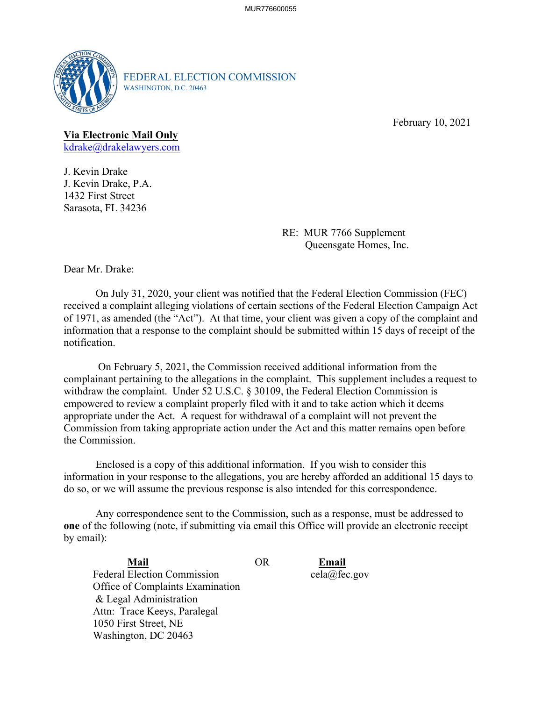

FEDERAL ELECTION COMMISSION WASHINGTON, D.C. 20463

February 10, 2021

## **Via Electronic Mail Only**

<u>[kdrake@drakelawyers.com](mailto:kdrake@drakelawyers.com)</u><br>J. Kevin Drake

J. Kevin Drake, P.A. 1432 First Street Sarasota, FL 34236

> RE: MUR 7766 Supplement Queensgate Homes, Inc.

Dear Mr. Drake:

On July 31, 2020, your client was notified that the Federal Election Commission (FEC) received a complaint alleging violations of certain sections of the Federal Election Campaign Act of 1971, as amended (the "Act"). At that time, your client was given a copy of the complaint and information that a response to the complaint should be submitted within 15 days of receipt of the notification.

 On February 5, 2021, the Commission received additional information from the complainant pertaining to the allegations in the complaint. This supplement includes a request to withdraw the complaint. Under 52 U.S.C. § 30109, the Federal Election Commission is empowered to review a complaint properly filed with it and to take action which it deems appropriate under the Act. A request for withdrawal of a complaint will not prevent the Commission from taking appropriate action under the Act and this matter remains open before the Commission.

 Enclosed is a copy of this additional information. If you wish to consider this information in your response to the allegations, you are hereby afforded an additional 15 days to do so, or we will assume the previous response is also intended for this correspondence.

 Any correspondence sent to the Commission, such as a response, must be addressed to **one** of the following (note, if submitting via email this Office will provide an electronic receipt by email):

**Mail Mail** OR **Email**  Federal Election Commission Office of Complaints Examination & Legal Administration Attn: Trace Keeys, Paralegal 1050 First Street, NE Washington, DC 20463

Email cela@fec.gov